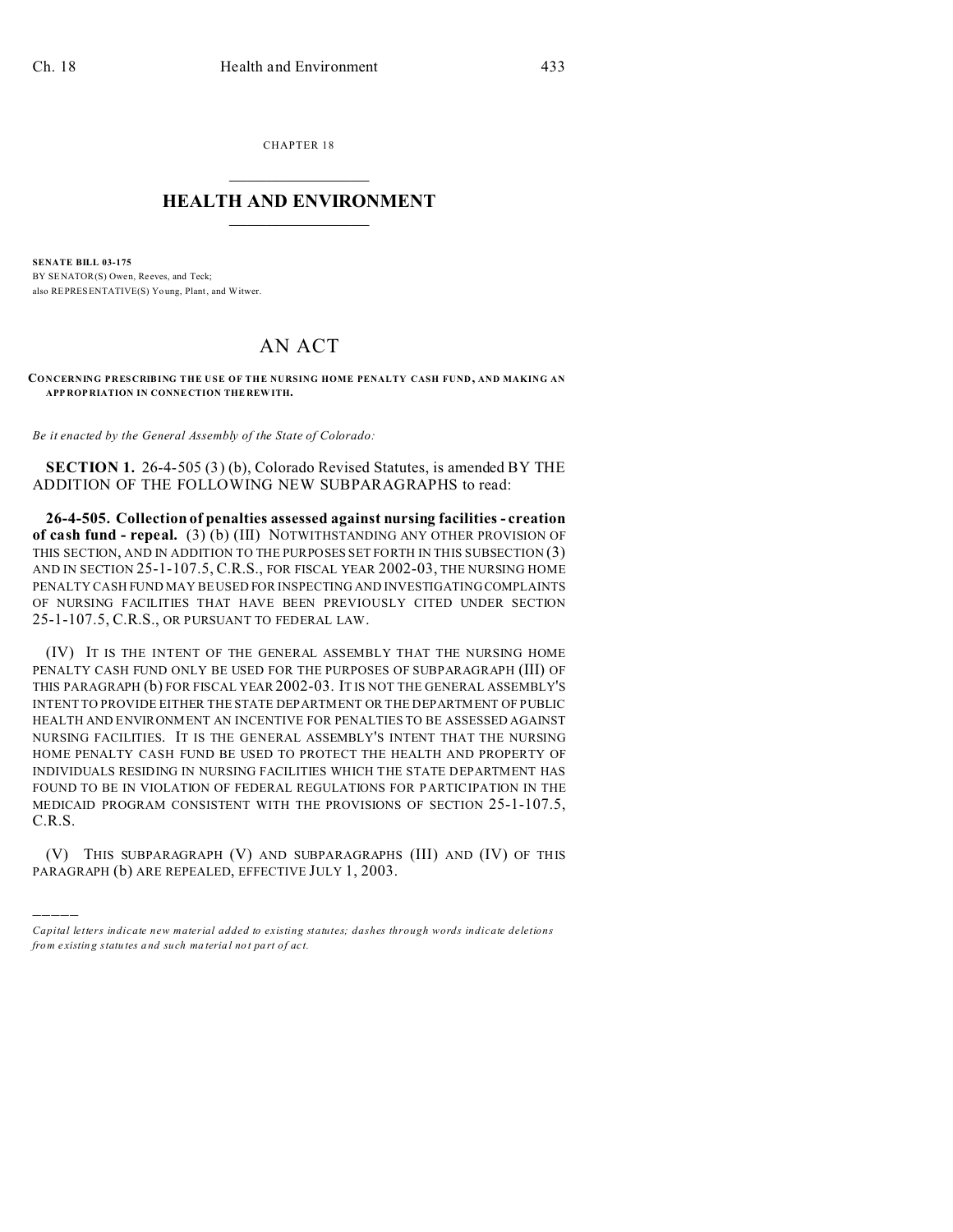)))))

CHAPTER 18  $\overline{\phantom{a}}$  , where  $\overline{\phantom{a}}$ 

## **HEALTH AND ENVIRONMENT**  $\_$   $\_$   $\_$   $\_$   $\_$   $\_$   $\_$   $\_$

**SENATE BILL 03-175** BY SENATOR(S) Owen, Reeves, and Teck: also REPRESENTATIVE(S) Yo ung, Plant, and Witwer.

## AN ACT

**CONCERNING PRESCRIBING THE USE OF THE NURSING HOME PENALTY CASH FUND, AND MAKING AN APP ROP RIATION IN CONNE CTION THE REW ITH.**

*Be it enacted by the General Assembly of the State of Colorado:*

**SECTION 1.** 26-4-505 (3) (b), Colorado Revised Statutes, is amended BY THE ADDITION OF THE FOLLOWING NEW SUBPARAGRAPHS to read:

**26-4-505. Collection of penalties assessed against nursing facilities - creation of cash fund - repeal.** (3) (b) (III) NOTWITHSTANDING ANY OTHER PROVISION OF THIS SECTION, AND IN ADDITION TO THE PURPOSES SET FORTH IN THIS SUBSECTION (3) AND IN SECTION 25-1-107.5, C.R.S., FOR FISCAL YEAR 2002-03, THE NURSING HOME PENALTY CASH FUND MAY BE USED FOR INSPECTING AND INVESTIGATING COMPLAINTS OF NURSING FACILITIES THAT HAVE BEEN PREVIOUSLY CITED UNDER SECTION 25-1-107.5, C.R.S., OR PURSUANT TO FEDERAL LAW.

(IV) IT IS THE INTENT OF THE GENERAL ASSEMBLY THAT THE NURSING HOME PENALTY CASH FUND ONLY BE USED FOR THE PURPOSES OF SUBPARAGRAPH (III) OF THIS PARAGRAPH (b) FOR FISCAL YEAR 2002-03. IT IS NOT THE GENERAL ASSEMBLY'S INTENT TO PROVIDE EITHER THE STATE DEPARTMENT OR THE DEPARTMENT OF PUBLIC HEALTH AND ENVIRONMENT AN INCENTIVE FOR PENALTIES TO BE ASSESSED AGAINST NURSING FACILITIES. IT IS THE GENERAL ASSEMBLY'S INTENT THAT THE NURSING HOME PENALTY CASH FUND BE USED TO PROTECT THE HEALTH AND PROPERTY OF INDIVIDUALS RESIDING IN NURSING FACILITIES WHICH THE STATE DEPARTMENT HAS FOUND TO BE IN VIOLATION OF FEDERAL REGULATIONS FOR PARTICIPATION IN THE MEDICAID PROGRAM CONSISTENT WITH THE PROVISIONS OF SECTION 25-1-107.5, C.R.S.

(V) THIS SUBPARAGRAPH (V) AND SUBPARAGRAPHS (III) AND (IV) OF THIS PARAGRAPH (b) ARE REPEALED, EFFECTIVE JULY 1, 2003.

*Capital letters indicate new material added to existing statutes; dashes through words indicate deletions from e xistin g statu tes a nd such ma teria l no t pa rt of ac t.*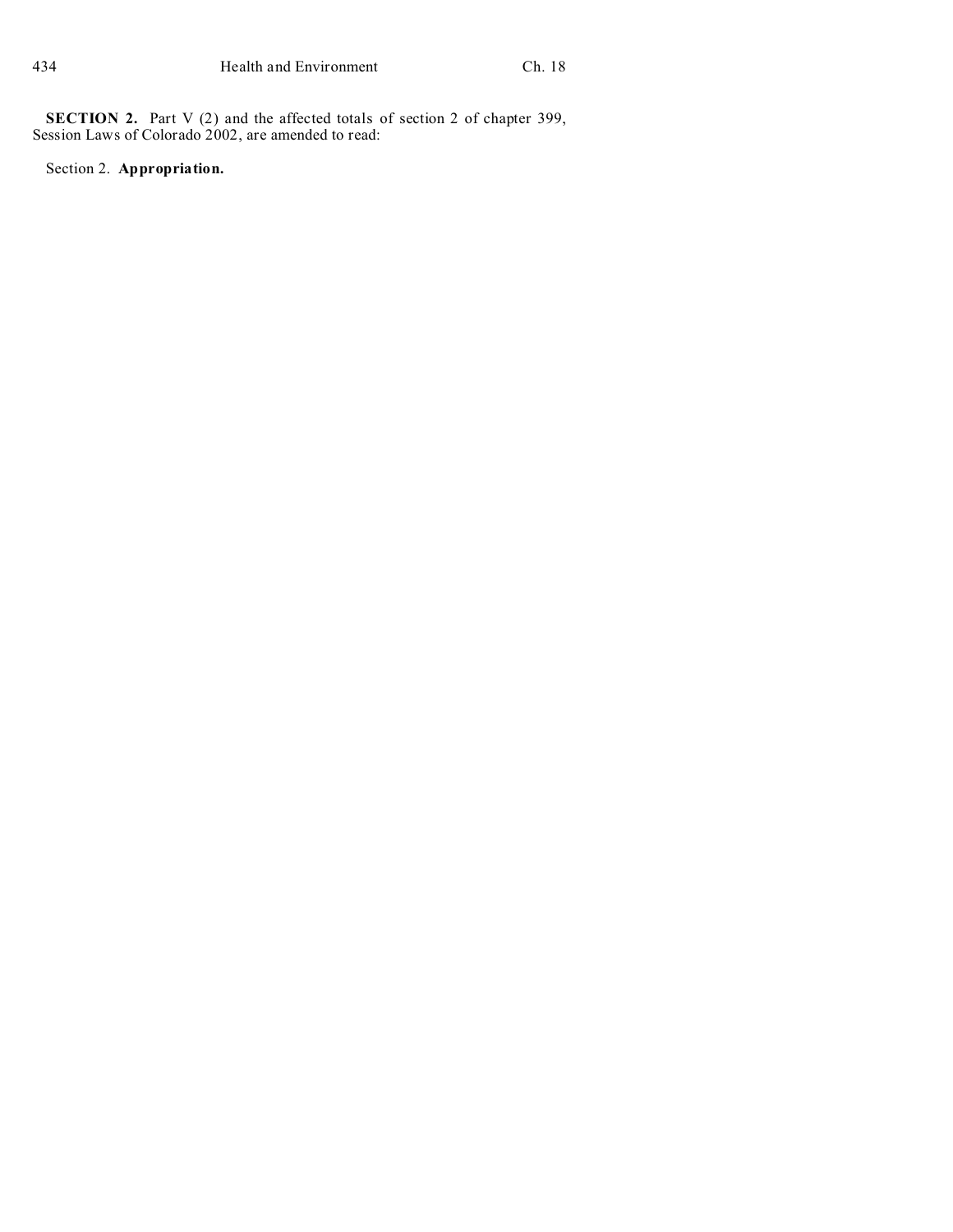**SECTION 2.** Part V (2) and the affected totals of section 2 of chapter 399, Session Laws of Colorado 2002, are amended to read:

Section 2. **Appropriation.**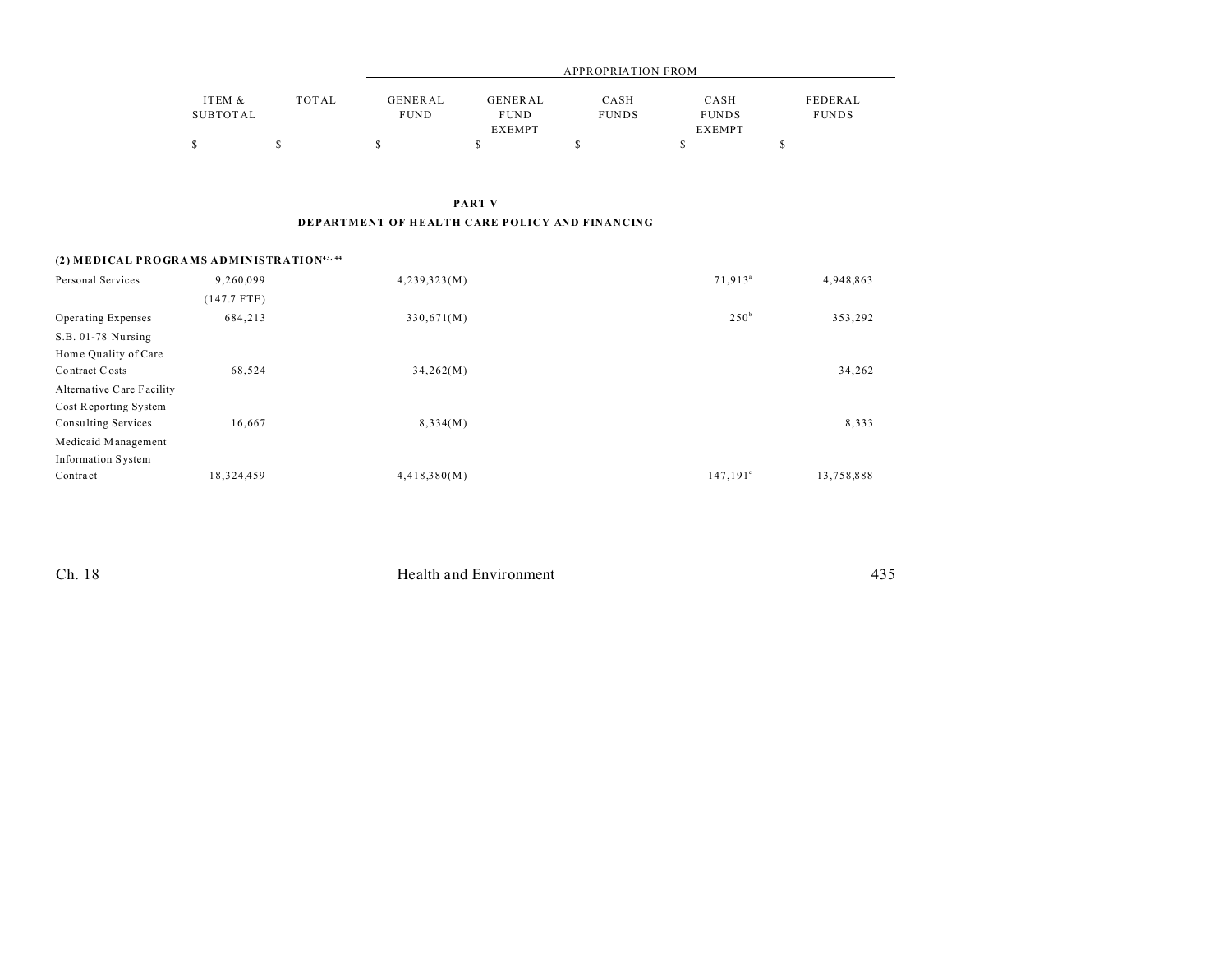|          |       | <b>APPROPRIATION FROM</b> |               |              |               |              |  |
|----------|-------|---------------------------|---------------|--------------|---------------|--------------|--|
| ITEM &   | TOTAL | GENERAL                   | GENERAL       | CASH         | CASH          | FEDERAL      |  |
| SUBTOTAL |       | <b>FUND</b>               | <b>FUND</b>   | <b>FUNDS</b> | <b>FUNDS</b>  | <b>FUNDS</b> |  |
|          |       |                           | <b>EXEMPT</b> |              | <b>EXEMPT</b> |              |  |
|          |       |                           |               |              |               |              |  |

**PART V DEPARTMENT OF HEALTH CARE POLICY AND FINANCING**

## **(2) MEDICAL PROGRAMS ADMINISTRATION43, 44**

| Personal Services          | 9,260,099   | 4,239,323(M) | 71,913 <sup>a</sup> | 4,948,863  |
|----------------------------|-------------|--------------|---------------------|------------|
|                            | (147.7 FTE) |              |                     |            |
| Operating Expenses         | 684,213     | 330,671(M)   | 250 <sup>b</sup>    | 353,292    |
| S.B. 01-78 Nursing         |             |              |                     |            |
| Home Quality of Care       |             |              |                     |            |
| Contract Costs             | 68,524      | 34,262(M)    |                     | 34,262     |
| Alternative Care Facility  |             |              |                     |            |
| Cost Reporting System      |             |              |                     |            |
| <b>Consulting Services</b> | 16,667      | 8,334(M)     |                     | 8,333      |
| Medicaid Management        |             |              |                     |            |
| <b>Information System</b>  |             |              |                     |            |
| Contract                   | 18,324,459  | 4,418,380(M) | $147,191^{\circ}$   | 13,758,888 |

| Ch. 18 | Health and Environment | $\lambda \rightarrow r$<br>1 J J |
|--------|------------------------|----------------------------------|
|        |                        |                                  |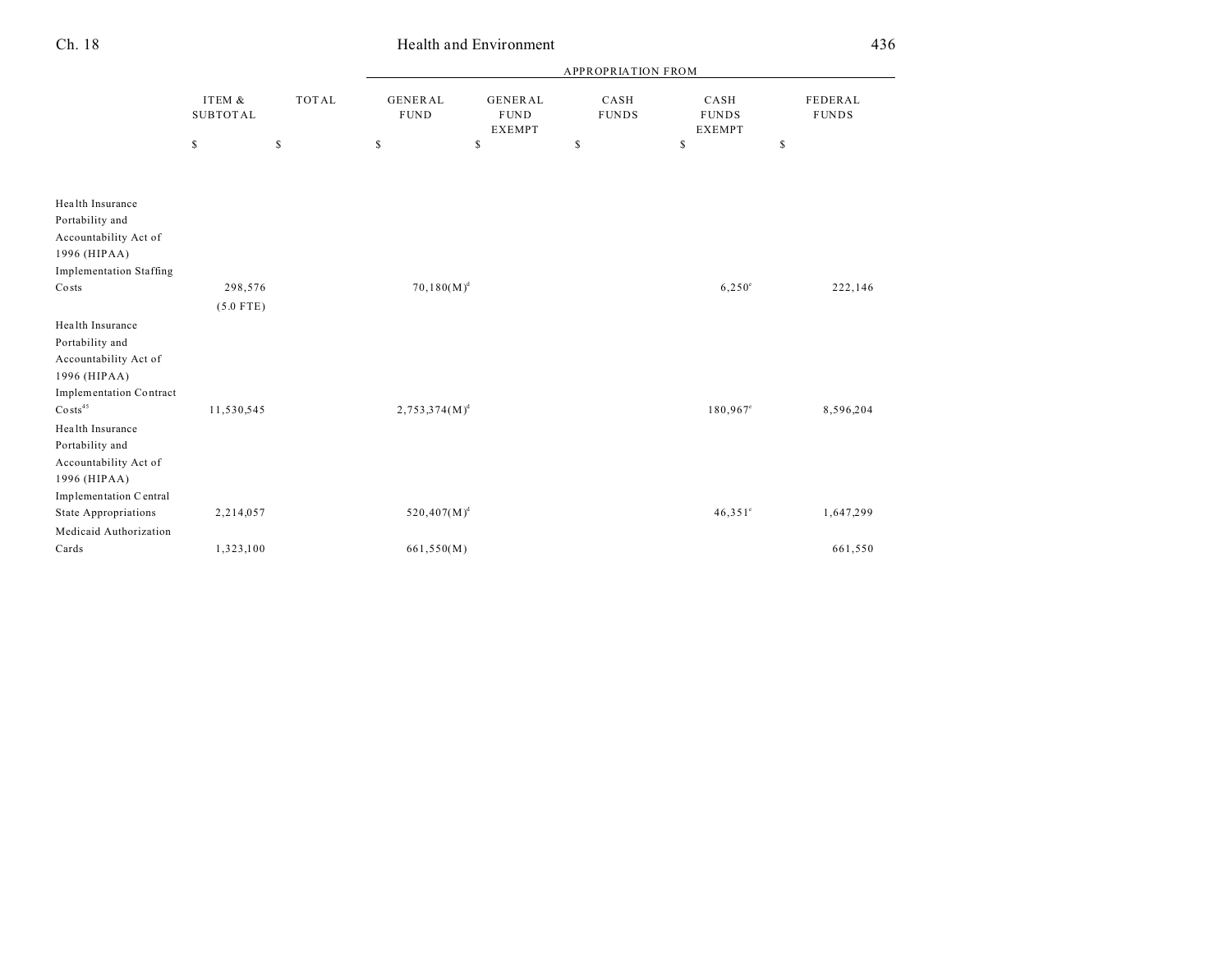|                                | ITEM &<br><b>SUBTOTAL</b> |               | <b>APPROPRIATION FROM</b>     |                                                |                      |                                       |                         |  |  |
|--------------------------------|---------------------------|---------------|-------------------------------|------------------------------------------------|----------------------|---------------------------------------|-------------------------|--|--|
|                                |                           | <b>TOTAL</b>  | <b>GENERAL</b><br><b>FUND</b> | <b>GENERAL</b><br><b>FUND</b><br><b>EXEMPT</b> | CASH<br><b>FUNDS</b> | CASH<br><b>FUNDS</b><br><b>EXEMPT</b> | FEDERAL<br><b>FUNDS</b> |  |  |
|                                | \$                        | <sup>\$</sup> | S                             | \$                                             | \$                   | \$                                    | $\mathbb{S}$            |  |  |
| Health Insurance               |                           |               |                               |                                                |                      |                                       |                         |  |  |
| Portability and                |                           |               |                               |                                                |                      |                                       |                         |  |  |
| Accountability Act of          |                           |               |                               |                                                |                      |                                       |                         |  |  |
| 1996 (HIPAA)                   |                           |               |                               |                                                |                      |                                       |                         |  |  |
| <b>Implementation Staffing</b> |                           |               |                               |                                                |                      |                                       |                         |  |  |
| Costs                          | 298,576                   |               | $70,180(M)^d$                 |                                                |                      | $6,250^{\circ}$                       | 222,146                 |  |  |
|                                | $(5.0$ FTE)               |               |                               |                                                |                      |                                       |                         |  |  |
| Health Insurance               |                           |               |                               |                                                |                      |                                       |                         |  |  |
| Portability and                |                           |               |                               |                                                |                      |                                       |                         |  |  |
| Accountability Act of          |                           |               |                               |                                                |                      |                                       |                         |  |  |
| 1996 (HIPAA)                   |                           |               |                               |                                                |                      |                                       |                         |  |  |
| <b>Implementation Contract</b> |                           |               |                               |                                                |                      |                                       |                         |  |  |
| $\text{Costs}^{45}$            | 11,530,545                |               | $2,753,374(M)^d$              |                                                |                      | $180,967^{\circ}$                     | 8,596,204               |  |  |
| Health Insurance               |                           |               |                               |                                                |                      |                                       |                         |  |  |
| Portability and                |                           |               |                               |                                                |                      |                                       |                         |  |  |
| Accountability Act of          |                           |               |                               |                                                |                      |                                       |                         |  |  |
| 1996 (HIPAA)                   |                           |               |                               |                                                |                      |                                       |                         |  |  |
| Implementation Central         |                           |               |                               |                                                |                      |                                       |                         |  |  |
| State Appropriations           | 2,214,057                 |               | $520,407(M)^d$                |                                                |                      | $46,351$ °                            | 1,647,299               |  |  |
| Medicaid Authorization         |                           |               |                               |                                                |                      |                                       |                         |  |  |
| Cards                          | 1,323,100                 |               | 661,550(M)                    |                                                |                      |                                       | 661,550                 |  |  |

Ch. 18 Health and Environment 436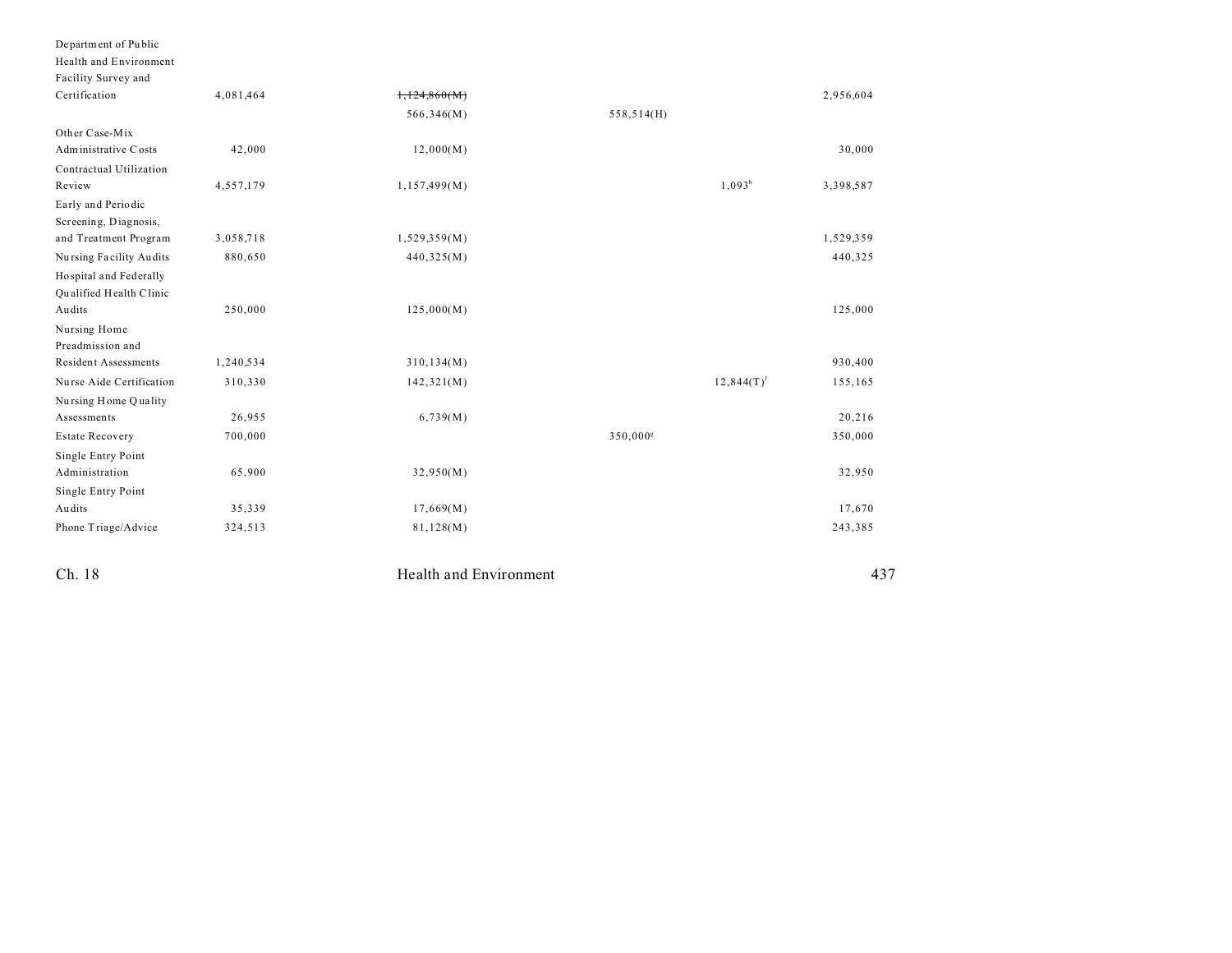| Department of Public        |           |                        |             |               |           |
|-----------------------------|-----------|------------------------|-------------|---------------|-----------|
| Health and Environment      |           |                        |             |               |           |
| Facility Survey and         |           |                        |             |               |           |
| Certification               | 4,081,464 | 1,124,860(M)           |             |               | 2,956,604 |
|                             |           | 566,346(M)             | 558,514(H)  |               |           |
| Other Case-Mix              |           |                        |             |               |           |
| Administrative Costs        | 42,000    | 12,000(M)              |             |               | 30,000    |
| Contractual Utilization     |           |                        |             |               |           |
| Review                      | 4,557,179 | 1,157,499(M)           |             | $1,093^b$     | 3,398,587 |
| Early and Periodic          |           |                        |             |               |           |
| Screening, Diagnosis,       |           |                        |             |               |           |
| and Treatment Program       | 3,058,718 | 1,529,359(M)           |             |               | 1,529,359 |
| Nursing Facility Audits     | 880,650   | 440,325(M)             |             |               | 440,325   |
| Hospital and Federally      |           |                        |             |               |           |
| Qualified Health Clinic     |           |                        |             |               |           |
| Audits                      | 250,000   | 125,000(M)             |             |               | 125,000   |
| Nursing Home                |           |                        |             |               |           |
| Preadmission and            |           |                        |             |               |           |
| <b>Resident Assessments</b> | 1,240,534 | 310, 134(M)            |             |               | 930,400   |
| Nurse Aide Certification    | 310,330   | 142,321(M)             |             | $12,844(T)^f$ | 155,165   |
| Nursing Home Quality        |           |                        |             |               |           |
| Assessments                 | 26,955    | 6,739(M)               |             |               | 20,216    |
| <b>Estate Recovery</b>      | 700,000   |                        | $350,000^8$ |               | 350,000   |
| Single Entry Point          |           |                        |             |               |           |
| Administration              | 65,900    | 32,950(M)              |             |               | 32,950    |
| Single Entry Point          |           |                        |             |               |           |
| Audits                      | 35,339    | 17,669(M)              |             |               | 17,670    |
| Phone Triage/Advice         | 324,513   | 81,128(M)              |             |               | 243,385   |
| Ch. 18                      |           | Health and Environment |             |               | 437       |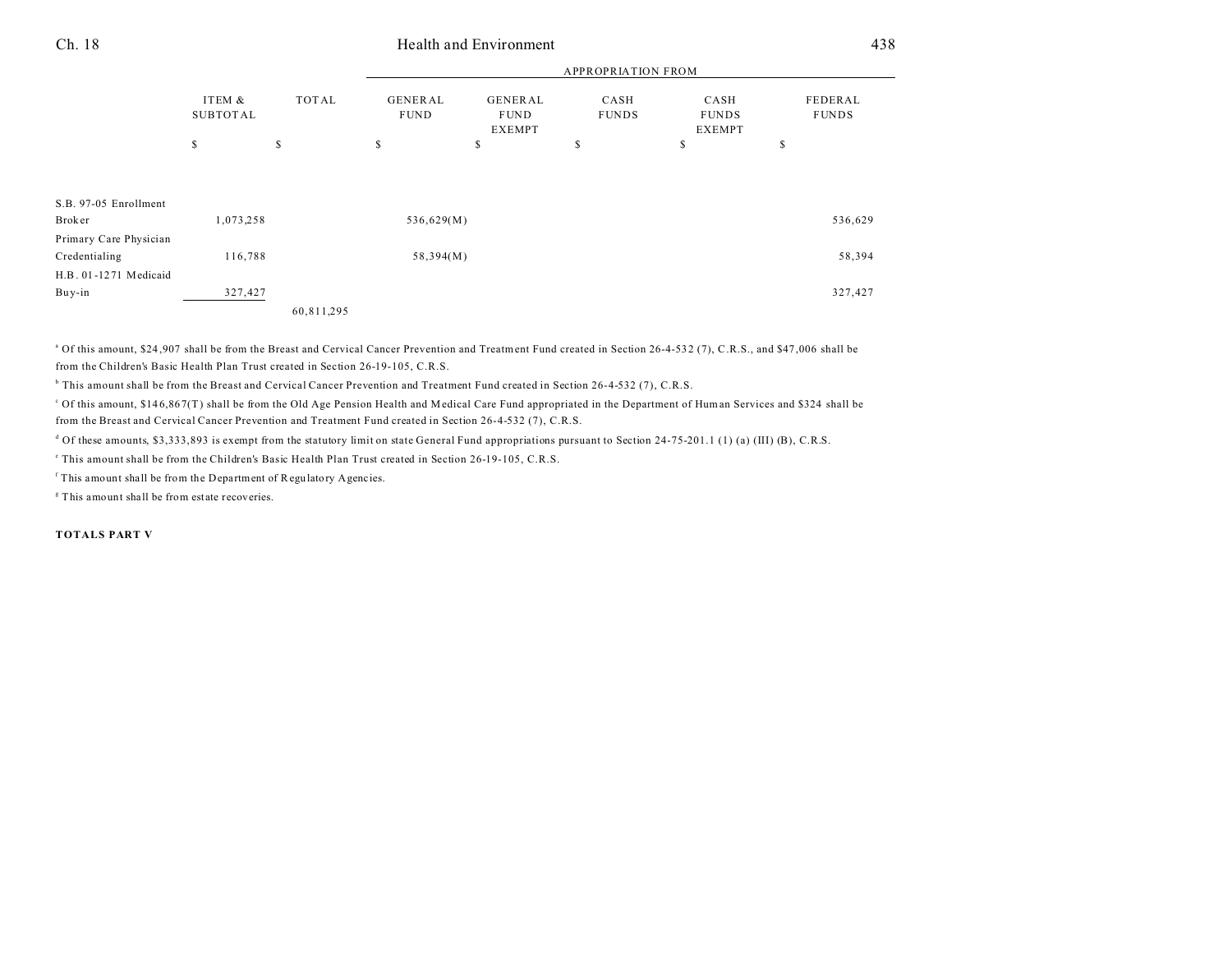## Ch. 18 Health and Environment 438

|                                         |                           |              | <b>APPROPRIATION FROM</b>     |                                  |                      |                                       |                         |  |
|-----------------------------------------|---------------------------|--------------|-------------------------------|----------------------------------|----------------------|---------------------------------------|-------------------------|--|
|                                         | ITEM &<br><b>SUBTOTAL</b> | <b>TOTAL</b> | <b>GENERAL</b><br><b>FUND</b> | GENERAL<br><b>FUND</b><br>EXEMPT | CASH<br><b>FUNDS</b> | CASH<br><b>FUNDS</b><br><b>EXEMPT</b> | FEDERAL<br><b>FUNDS</b> |  |
|                                         | \$                        | s            | s                             | s                                | S                    | P                                     | \$                      |  |
|                                         |                           |              |                               |                                  |                      |                                       |                         |  |
| S.B. 97-05 Enrollment                   |                           |              |                               |                                  |                      |                                       |                         |  |
| <b>Broker</b>                           | 1,073,258                 |              | 536,629(M)                    |                                  |                      |                                       | 536,629                 |  |
| Primary Care Physician<br>Credentialing | 116,788                   |              | 58,394(M)                     |                                  |                      |                                       | 58,394                  |  |
| H.B. 01-1271 Medicaid                   |                           |              |                               |                                  |                      |                                       |                         |  |
| Buy-in                                  | 327,427                   |              |                               |                                  |                      |                                       | 327,427                 |  |
|                                         |                           | 60,811,295   |                               |                                  |                      |                                       |                         |  |

<sup>a</sup> Of this amount, \$24,907 shall be from the Breast and Cervical Cancer Prevention and Treatment Fund created in Section 26-4-532 (7), C.R.S., and \$47,006 shall be from the Children's Basic Health Plan Trust created in Section 26-19-105, C.R.S.

b This amount shall be from the Breast and Cervical Cancer Prevention and Treatment Fund created in Section 26-4-532 (7), C.R.S.

c Of this amount, \$14 6,86 7(T) shall be from the Old Age Pension Health and Medical Care Fund appropriated in the Department of Human Services and \$324 shall be from the Breast and Cervical Cancer Prevention and Treatment Fund created in Section 26-4-532 (7), C.R.S.

<sup>d</sup> Of these amounts, \$3,333,893 is exempt from the statutory limit on state General Fund appropriations pursuant to Section 24-75-201.1 (1) (a) (III) (B), C.R.S.

e This amount shall be from the Children's Basic Health Plan Trust created in Section 26-19-105, C.R.S.

<sup>f</sup> This amount shall be from the Department of Regulatory Agencies.

<sup>8</sup> This amount shall be from estate recoveries.

**TOTALS PART V**